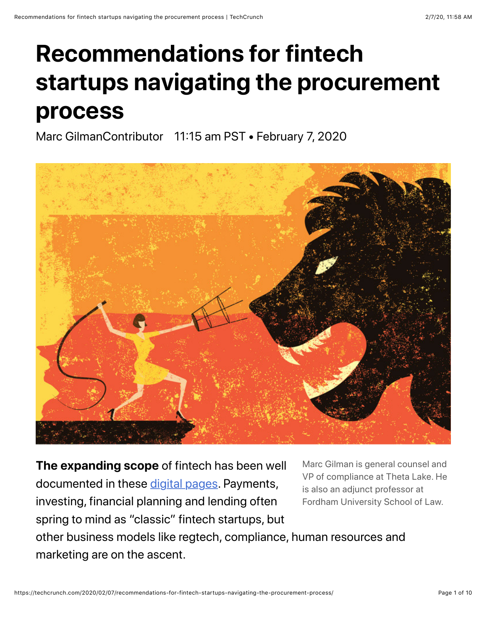# **Recommendations for fintech startups navigating the procurement process**

Marc GilmanContributor 11:15 am PST • February 7, 2020



**The expanding scope** of fintech has been well documented in these [digital pages](https://techcrunch.com/2019/12/22/fintechs-next-decade-will-look-radically-different/). Payments, investing, financial planning and lending often spring to mind as "classic" fintech startups, but

Marc Gilman is general counsel and VP of compliance at Theta Lake. He is also an adjunct professor at Fordham University School of Law.

other business models like regtech, compliance, human resources and marketing are on the ascent.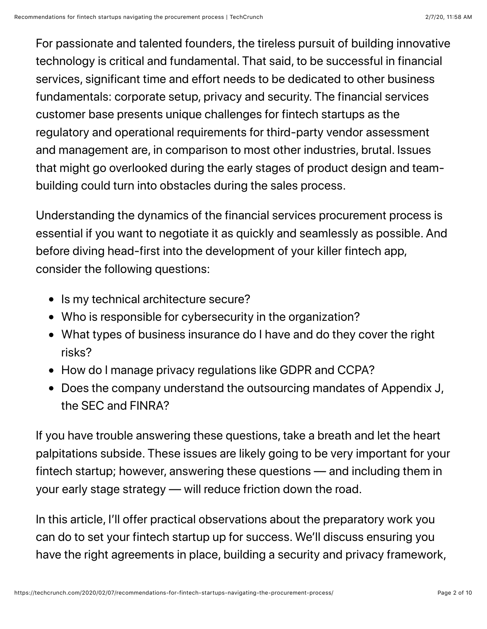For passionate and talented founders, the tireless pursuit of building innovative technology is critical and fundamental. That said, to be successful in financial services, significant time and effort needs to be dedicated to other business fundamentals: corporate setup, privacy and security. The financial services customer base presents unique challenges for fintech startups as the regulatory and operational requirements for third-party vendor assessment and management are, in comparison to most other industries, brutal. Issues that might go overlooked during the early stages of product design and teambuilding could turn into obstacles during the sales process.

Understanding the dynamics of the financial services procurement process is essential if you want to negotiate it as quickly and seamlessly as possible. And before diving head-first into the development of your killer fintech app, consider the following questions:

- Is my technical architecture secure?
- Who is responsible for cybersecurity in the organization?
- What types of business insurance do I have and do they cover the right risks?
- How do I manage privacy regulations like GDPR and CCPA?
- Does the company understand the outsourcing mandates of Appendix J, the SEC and FINRA?

If you have trouble answering these questions, take a breath and let the heart palpitations subside. These issues are likely going to be very important for your fintech startup; however, answering these questions — and including them in your early stage strategy — will reduce friction down the road.

In this article, I'll offer practical observations about the preparatory work you can do to set your fintech startup up for success. We'll discuss ensuring you have the right agreements in place, building a security and privacy framework,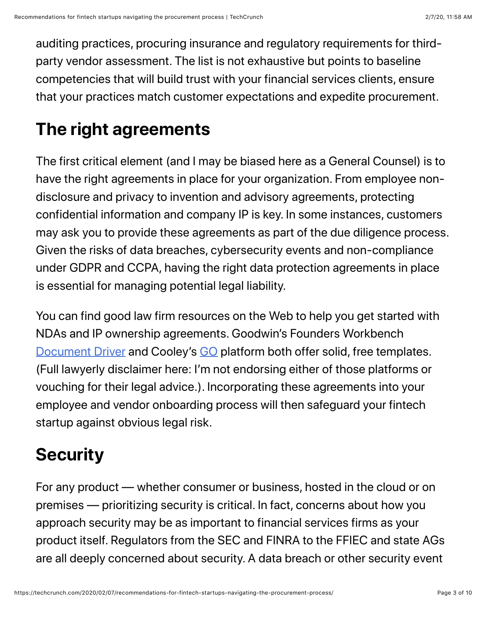auditing practices, procuring insurance and regulatory requirements for thirdparty vendor assessment. The list is not exhaustive but points to baseline competencies that will build trust with your financial services clients, ensure that your practices match customer expectations and expedite procurement.

## **The right agreements**

The first critical element (and I may be biased here as a General Counsel) is to have the right agreements in place for your organization. From employee nondisclosure and privacy to invention and advisory agreements, protecting confidential information and company IP is key. In some instances, customers may ask you to provide these agreements as part of the due diligence process. Given the risks of data breaches, cybersecurity events and non-compliance under GDPR and CCPA, having the right data protection agreements in place is essential for managing potential legal liability.

You can find good law firm resources on the Web to help you get started with NDAs and IP ownership agreements. Goodwin's Founders Workbench [Document Driver](https://www.foundersworkbench.com/document-driver/) and Cooley's [GO](https://www.cooleygo.com/documents/) platform both offer solid, free templates. (Full lawyerly disclaimer here: I'm not endorsing either of those platforms or vouching for their legal advice.). Incorporating these agreements into your employee and vendor onboarding process will then safeguard your fintech startup against obvious legal risk.

## **Security**

For any product — whether consumer or business, hosted in the cloud or on premises — prioritizing security is critical. In fact, concerns about how you approach security may be as important to financial services firms as your product itself. Regulators from the SEC and FINRA to the FFIEC and state AGs are all deeply concerned about security. A data breach or other security event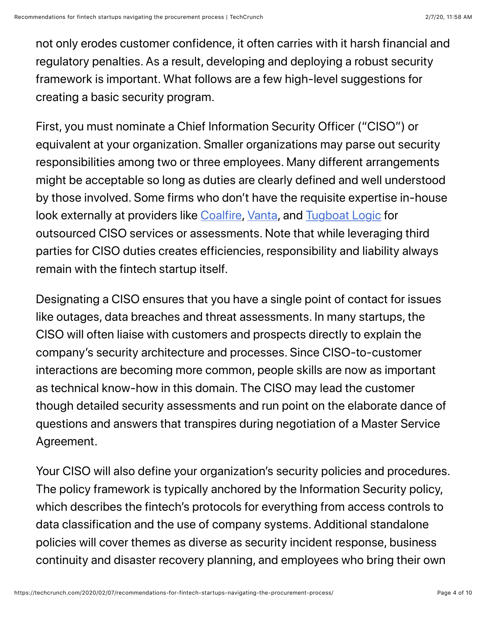not only erodes customer confidence, it often carries with it harsh financial and regulatory penalties. As a result, developing and deploying a robust security framework is important. What follows are a few high-level suggestions for creating a basic security program.

First, you must nominate a Chief Information Security Officer ("CISO") or equivalent at your organization. Smaller organizations may parse out security responsibilities among two or three employees. Many different arrangements might be acceptable so long as duties are clearly defined and well understood by those involved. Some firms who don't have the requisite expertise in-house look externally at providers like [Coalfire](https://www.coalfire.com/), [Vanta](https://vanta.com/), and [Tugboat Logic](https://tugboatlogic.com/) for outsourced CISO services or assessments. Note that while leveraging third parties for CISO duties creates efficiencies, responsibility and liability always remain with the fintech startup itself.

Designating a CISO ensures that you have a single point of contact for issues like outages, data breaches and threat assessments. In many startups, the CISO will often liaise with customers and prospects directly to explain the company's security architecture and processes. Since CISO-to-customer interactions are becoming more common, people skills are now as important as technical know-how in this domain. The CISO may lead the customer though detailed security assessments and run point on the elaborate dance of questions and answers that transpires during negotiation of a Master Service Agreement.

Your CISO will also define your organization's security policies and procedures. The policy framework is typically anchored by the Information Security policy, which describes the fintech's protocols for everything from access controls to data classification and the use of company systems. Additional standalone policies will cover themes as diverse as security incident response, business continuity and disaster recovery planning, and employees who bring their own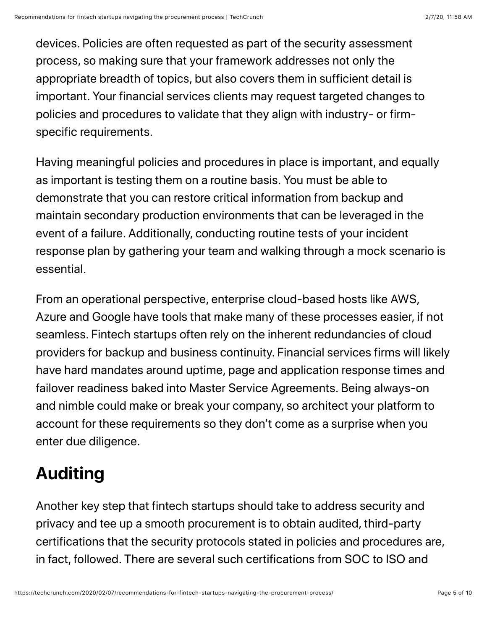devices. Policies are often requested as part of the security assessment process, so making sure that your framework addresses not only the appropriate breadth of topics, but also covers them in sufficient detail is important. Your financial services clients may request targeted changes to policies and procedures to validate that they align with industry- or firmspecific requirements.

Having meaningful policies and procedures in place is important, and equally as important is testing them on a routine basis. You must be able to demonstrate that you can restore critical information from backup and maintain secondary production environments that can be leveraged in the event of a failure. Additionally, conducting routine tests of your incident response plan by gathering your team and walking through a mock scenario is essential.

From an operational perspective, enterprise cloud-based hosts like AWS, Azure and Google have tools that make many of these processes easier, if not seamless. Fintech startups often rely on the inherent redundancies of cloud providers for backup and business continuity. Financial services firms will likely have hard mandates around uptime, page and application response times and failover readiness baked into Master Service Agreements. Being always-on and nimble could make or break your company, so architect your platform to account for these requirements so they don't come as a surprise when you enter due diligence.

# **Auditing**

Another key step that fintech startups should take to address security and privacy and tee up a smooth procurement is to obtain audited, third-party certifications that the security protocols stated in policies and procedures are, in fact, followed. There are several such certifications from SOC to ISO and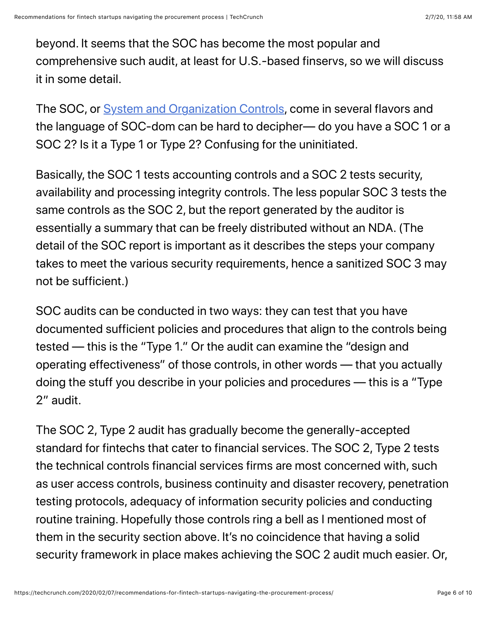beyond. It seems that the SOC has become the most popular and comprehensive such audit, at least for U.S.-based finservs, so we will discuss it in some detail.

The SOC, or [System and Organization Controls,](https://www.aicpa.org/interestareas/frc/assuranceadvisoryservices/serviceorganization-smanagement.html) come in several flavors and the language of SOC-dom can be hard to decipher— do you have a SOC 1 or a SOC 2? Is it a Type 1 or Type 2? Confusing for the uninitiated.

Basically, the SOC 1 tests accounting controls and a SOC 2 tests security, availability and processing integrity controls. The less popular SOC 3 tests the same controls as the SOC 2, but the report generated by the auditor is essentially a summary that can be freely distributed without an NDA. (The detail of the SOC report is important as it describes the steps your company takes to meet the various security requirements, hence a sanitized SOC 3 may not be sufficient.)

SOC audits can be conducted in two ways: they can test that you have documented sufficient policies and procedures that align to the controls being tested — this is the "Type 1." Or the audit can examine the "design and operating effectiveness" of those controls, in other words — that you actually doing the stuff you describe in your policies and procedures — this is a "Type 2" audit.

The SOC 2, Type 2 audit has gradually become the generally-accepted standard for fintechs that cater to financial services. The SOC 2, Type 2 tests the technical controls financial services firms are most concerned with, such as user access controls, business continuity and disaster recovery, penetration testing protocols, adequacy of information security policies and conducting routine training. Hopefully those controls ring a bell as I mentioned most of them in the security section above. It's no coincidence that having a solid security framework in place makes achieving the SOC 2 audit much easier. Or,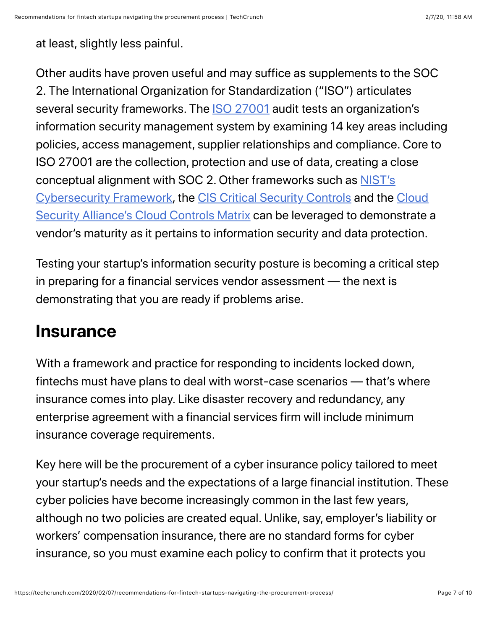at least, slightly less painful.

Other audits have proven useful and may suffice as supplements to the SOC 2. The International Organization for Standardization ("ISO") articulates several security frameworks. The [ISO 27001](https://www.iso.org/isoiec-27001-information-security.html) audit tests an organization's information security management system by examining 14 key areas including policies, access management, supplier relationships and compliance. Core to ISO 27001 are the collection, protection and use of data, creating a close conceptual alignment with SOC 2. Other frameworks such as **NIST's** Cybersecurity Framework, the [CIS Critical Security Controls](https://www.sans.org/critical-security-controls/) and the Cloud [Security Alliance's Cloud Controls Matrix can be leveraged to demonstrate](https://cloudsecurityalliance.org/research/cloud-controls-matrix/) a vendor's maturity as it pertains to information security and data protection.

Testing your startup's information security posture is becoming a critical step in preparing for a financial services vendor assessment — the next is demonstrating that you are ready if problems arise.

#### **Insurance**

With a framework and practice for responding to incidents locked down, fintechs must have plans to deal with worst-case scenarios — that's where insurance comes into play. Like disaster recovery and redundancy, any enterprise agreement with a financial services firm will include minimum insurance coverage requirements.

Key here will be the procurement of a cyber insurance policy tailored to meet your startup's needs and the expectations of a large financial institution. These cyber policies have become increasingly common in the last few years, although no two policies are created equal. Unlike, say, employer's liability or workers' compensation insurance, there are no standard forms for cyber insurance, so you must examine each policy to confirm that it protects you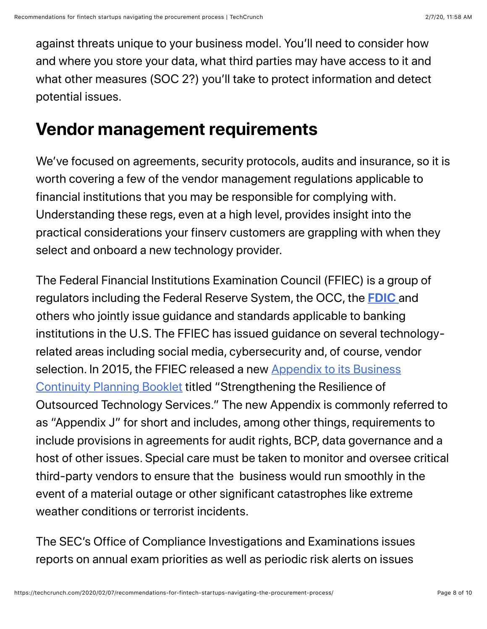against threats unique to your business model. You'll need to consider how and where you store your data, what third parties may have access to it and what other measures (SOC 2?) you'll take to protect information and detect potential issues.

### **Vendor management requirements**

We've focused on agreements, security protocols, audits and insurance, so it is worth covering a few of the vendor management regulations applicable to financial institutions that you may be responsible for complying with. Understanding these regs, even at a high level, provides insight into the practical considerations your finserv customers are grappling with when they select and onboard a new technology provider.

The Federal Financial Institutions Examination Council (FFIEC) is a group of regulators including the Federal Reserve System, the OCC, the **[FDIC](https://crunchbase.com/organization/fdic-2)** and others who jointly issue guidance and standards applicable to banking institutions in the U.S. The FFIEC has issued guidance on several technologyrelated areas including social media, cybersecurity and, of course, vendor [selection. In 2015, the FFIEC released a new Appendix to its Business](https://www.ffiec.gov/press/pr020615.htm) Continuity Planning Booklet titled "Strengthening the Resilience of Outsourced Technology Services." The new Appendix is commonly referred to as "Appendix J" for short and includes, among other things, requirements to include provisions in agreements for audit rights, BCP, data governance and a host of other issues. Special care must be taken to monitor and oversee critical third-party vendors to ensure that the business would run smoothly in the event of a material outage or other significant catastrophes like extreme weather conditions or terrorist incidents.

The SEC's Office of Compliance Investigations and Examinations issues reports on annual exam priorities as well as periodic risk alerts on issues